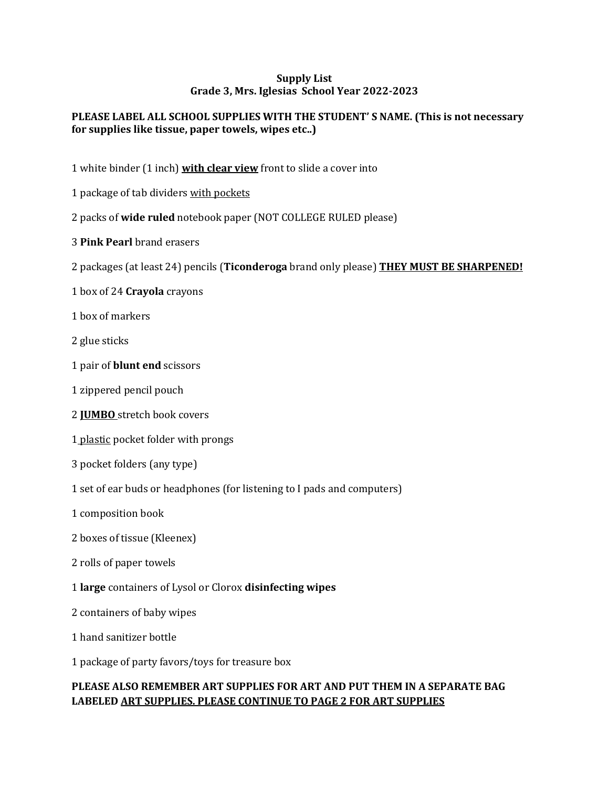## **Supply List Grade 3, Mrs. Iglesias School Year 2022-2023**

## **PLEASE LABEL ALL SCHOOL SUPPLIES WITH THE STUDENT' S NAME. (This is not necessary for supplies like tissue, paper towels, wipes etc..)**

- 1 white binder (1 inch) **with clear view** front to slide a cover into
- 1 package of tab dividers with pockets
- 2 packs of **wide ruled** notebook paper (NOT COLLEGE RULED please)
- 3 **Pink Pearl** brand erasers
- 2 packages (at least 24) pencils (**Ticonderoga** brand only please) **THEY MUST BE SHARPENED!**
- 1 box of 24 **Crayola** crayons
- 1 box of markers
- 2 glue sticks
- 1 pair of **blunt end** scissors
- 1 zippered pencil pouch
- 2 **JUMBO** stretch book covers
- 1 plastic pocket folder with prongs
- 3 pocket folders (any type)
- 1 set of ear buds or headphones (for listening to I pads and computers)
- 1 composition book
- 2 boxes of tissue (Kleenex)
- 2 rolls of paper towels
- 1 **large** containers of Lysol or Clorox **disinfecting wipes**
- 2 containers of baby wipes
- 1 hand sanitizer bottle
- 1 package of party favors/toys for treasure box

## **PLEASE ALSO REMEMBER ART SUPPLIES FOR ART AND PUT THEM IN A SEPARATE BAG LABELED ART SUPPLIES. PLEASE CONTINUE TO PAGE 2 FOR ART SUPPLIES**